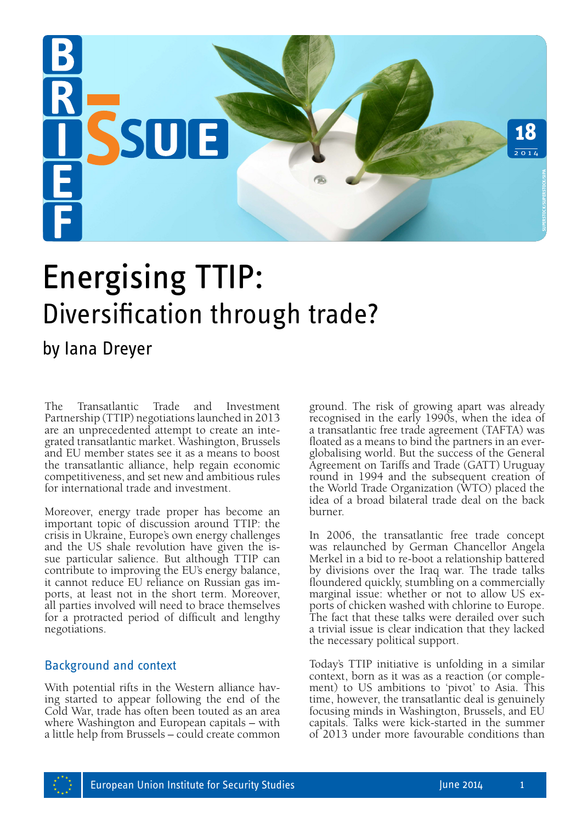

# Energising TTIP: Diversification through trade?

## by Iana Dreyer

The Transatlantic Trade and Investment Partnership (TTIP) negotiations launched in 2013 are an unprecedented attempt to create an integrated transatlantic market. Washington, Brussels and EU member states see it as a means to boost the transatlantic alliance, help regain economic competitiveness, and set new and ambitious rules for international trade and investment.

Moreover, energy trade proper has become an important topic of discussion around TTIP: the crisis in Ukraine, Europe's own energy challenges and the US shale revolution have given the is- sue particular salience. But although TTIP can contribute to improving the EU's energy balance, it cannot reduce EU reliance on Russian gas imports, at least not in the short term. Moreover, all parties involved will need to brace themselves for a protracted period of difficult and lengthy negotiations.

### Background and context

With potential rifts in the Western alliance having started to appear following the end of the Cold War, trade has often been touted as an area where Washington and European capitals – with a little help from Brussels – could create common ground. The risk of growing apart was already recognised in the early 1990s, when the idea of a transatlantic free trade agreement (TAFTA) was floated as a means to bind the partners in an everglobalising world. But the success of the General Agreement on Tariffs and Trade (GATT) Uruguay round in 1994 and the subsequent creation of the World Trade Organization (WTO) placed the idea of a broad bilateral trade deal on the back burner. **formularity of the right** of the read agreement (TAFTA) was already recognised in the cardy 1990s, when the idea of a transatlantic free trade agreement (TAFTA) was floated as a means to bind the partners in a reglobalisi

In 2006, the transatlantic free trade concept was relaunched by German Chancellor Angela Merkel in a bid to re-boot a relationship battered by divisions over the Iraq war. The trade talks floundered quickly, stumbling on a commercially marginal issue: whether or not to allow US exports of chicken washed with chlorine to Europe. The fact that these talks were derailed over such a trivial issue is clear indication that they lacked the necessary political support.

Today's TTIP initiative is unfolding in a similar context, born as it was as a reaction (or complement) to US ambitions to 'pivot' to Asia. This time, however, the transatlantic deal is genuinely focusing minds in Washington, Brussels, and EU capitals. Talks were kick-started in the summer

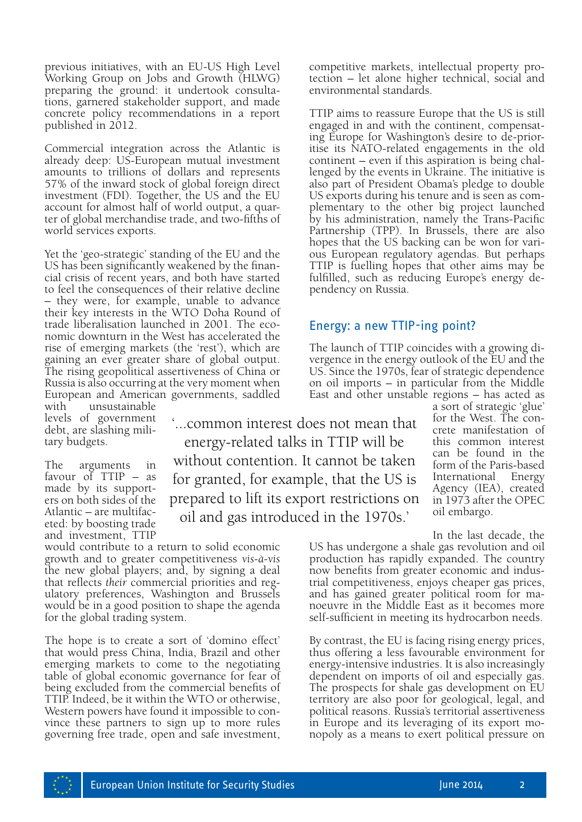previous initiatives, with an EU-US High Level Working Group on Jobs and Growth (HLWG) preparing the ground: it undertook consultations, garnered stakeholder support, and made concrete policy recommendations in a report published in 2012.

Commercial integration across the Atlantic is already deep: US-European mutual investment amounts to trillions of dollars and represents 57% of the inward stock of global foreign direct investment (FDI). Together, the US and the EU account for almost half of world output, a quarter of global merchandise trade, and two-fifths of world services exports.

Yet the 'geo-strategic' standing of the EU and the US has been significantly weakened by the financial crisis of recent years, and both have started to feel the consequences of their relative decline – they were, for example, unable to advance their key interests in the WTO Doha Round of trade liberalisation launched in 2001. The economic downturn in the West has accelerated the rise of emerging markets (the 'rest'), which are gaining an ever greater share of global output. The rising geopolitical assertiveness of China or Russia is also occurring at the very moment when European and American governments, saddled

with unsustainable levels of government debt, are slashing military budgets.

The arguments in favour of TTIP – as made by its supporters on both sides of the Atlantic – are multifac- eted: by boosting trade and investment, TTIP

'...common interest does not mean that energy-related talks in TTIP will be without contention. It cannot be taken for granted, for example, that the US is prepared to lift its export restrictions on oil and gas introduced in the 1970s.'

would contribute to a return to solid economic growth and to greater competitiveness *vis-à-vis* the new global players; and, by signing a deal that reflects *their* commercial priorities and regulatory preferences, Washington and Brussels would be in a good position to shape the agenda for the global trading system.

The hope is to create a sort of 'domino effect' that would press China, India, Brazil and other emerging markets to come to the negotiating table of global economic governance for fear of being excluded from the commercial benefits of TTIP. Indeed, be it within the WTO or otherwise, Western powers have found it impossible to convince these partners to sign up to more rules governing free trade, open and safe investment,

competitive markets, intellectual property pro- tection – let alone higher technical, social and environmental standards.

TTIP aims to reassure Europe that the US is still engaged in and with the continent, compensating Europe for Washington's desire to de-prioritise its NATO-related engagements in the old continent – even if this aspiration is being challenged by the events in Ukraine. The initiative is also part of President Obama's pledge to double US exports during his tenure and is seen as complementary to the other big project launched by his administration, namely the Trans-Pacific Partnership (TPP). In Brussels, there are also hopes that the US backing can be won for various European regulatory agendas. But perhaps TTIP is fuelling hopes that other aims may be fulfilled, such as reducing Europe's energy dependency on Russia.

#### Energy: a new TTIP-ing point?

The launch of TTIP coincides with a growing di- vergence in the energy outlook of the EU and the US. Since the 1970s, fear of strategic dependence on oil imports – in particular from the Middle East and other unstable regions – has acted as

a sort of strategic 'glue' for the West. The concrete manifestation of this common interest can be found in the form of the Paris-based<br>International Energy International Agency (IEA), created in 1973 after the OPEC oil embargo.

In the last decade, the US has undergone a shale gas revolution and oil production has rapidly expanded. The country now benefits from greater economic and indus- trial competitiveness, enjoys cheaper gas prices, and has gained greater political room for ma- noeuvre in the Middle East as it becomes more self-sufficient in meeting its hydrocarbon needs.

By contrast, the EU is facing rising energy prices, thus offering a less favourable environment for energy-intensive industries. It is also increasingly dependent on imports of oil and especially gas. The prospects for shale gas development on EU territory are also poor for geological, legal, and political reasons. Russia's territorial assertiveness in Europe and its leveraging of its export monopoly as a means to exert political pressure on

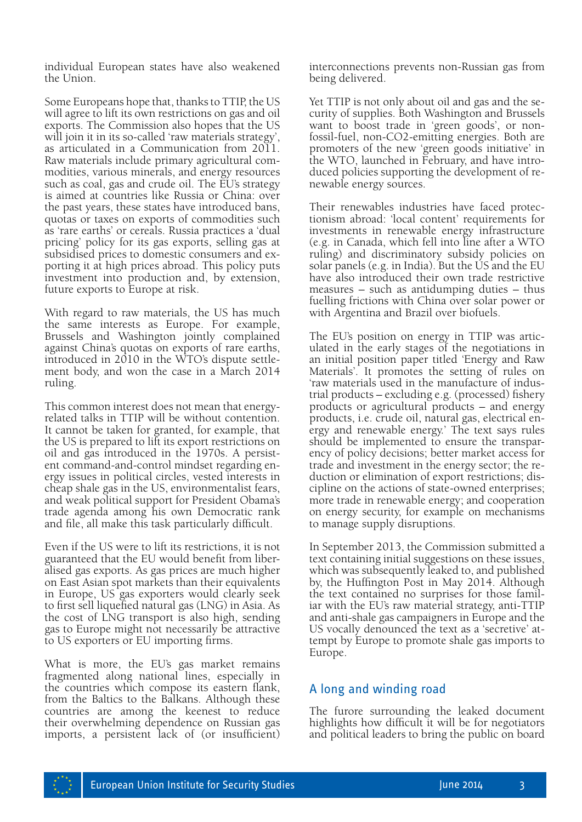individual European states have also weakened the Union.

Some Europeans hope that, thanks to TTIP, the US will agree to lift its own restrictions on gas and oil exports. The Commission also hopes that the US will join it in its so-called 'raw materials strategy', as articulated in a Communication from 2011. Raw materials include primary agricultural commodities, various minerals, and energy resources such as coal, gas and crude oil. The EU's strategy is aimed at countries like Russia or China: over the past years, these states have introduced bans, quotas or taxes on exports of commodities such as 'rare earths' or cereals. Russia practices a 'dual pricing' policy for its gas exports, selling gas at subsidised prices to domestic consumers and exporting it at high prices abroad. This policy puts investment into production and, by extension, future exports to Europe at risk.

With regard to raw materials, the US has much the same interests as Europe. For example, Brussels and Washington jointly complained against China's quotas on exports of rare earths, introduced in 2010 in the WTO's dispute settlement body, and won the case in a March 2014 ruling.

This common interest does not mean that energyrelated talks in TTIP will be without contention. It cannot be taken for granted, for example, that the US is prepared to lift its export restrictions on oil and gas introduced in the 1970s. A persistent command-and-control mindset regarding energy issues in political circles, vested interests in cheap shale gas in the US, environmentalist fears, and weak political support for President Obama's trade agenda among his own Democratic rank and file, all make this task particularly difficult.

Even if the US were to lift its restrictions, it is not guaranteed that the EU would benefit from liberalised gas exports. As gas prices are much higher on East Asian spot markets than their equivalents in Europe, US gas exporters would clearly seek to first sell liquefied natural gas (LNG) in Asia. As the cost of LNG transport is also high, sending gas to Europe might not necessarily be attractive to US exporters or EU importing firms.

What is more, the EU's gas market remains fragmented along national lines, especially in the countries which compose its eastern flank, from the Baltics to the Balkans. Although these countries are among the keenest to reduce their overwhelming dependence on Russian gas imports, a persistent lack of (or insufficient) interconnections prevents non-Russian gas from being delivered.

Yet TTIP is not only about oil and gas and the security of supplies. Both Washington and Brussels want to boost trade in 'green goods', or nonfossil-fuel, non-CO2-emitting energies. Both are promoters of the new 'green goods initiative' in the WTO, launched in February, and have introduced policies supporting the development of renewable energy sources.

Their renewables industries have faced protectionism abroad: 'local content' requirements for investments in renewable energy infrastructure (e.g. in Canada, which fell into line after a WTO ruling) and discriminatory subsidy policies on solar panels (e.g. in India). But the US and the EU have also introduced their own trade restrictive measures – such as antidumping duties – thus fuelling frictions with China over solar power or with Argentina and Brazil over biofuels.

The EU's position on energy in TTIP was articulated in the early stages of the negotiations in an initial position paper titled 'Energy and Raw Materials'. It promotes the setting of rules on 'raw materials used in the manufacture of industrial products – excluding e.g. (processed) fishery products or agricultural products – and energy products, i.e. crude oil, natural gas, electrical energy and renewable energy.' The text says rules should be implemented to ensure the transparency of policy decisions; better market access for trade and investment in the energy sector; the reduction or elimination of export restrictions; discipline on the actions of state-owned enterprises; more trade in renewable energy; and cooperation on energy security, for example on mechanisms to manage supply disruptions.

In September 2013, the Commission submitted a text containing initial suggestions on these issues, which was subsequently leaked to, and published by, the Huffington Post in May 2014. Although the text contained no surprises for those famil- iar with the EU's raw material strategy, anti-TTIP and anti-shale gas campaigners in Europe and the US vocally denounced the text as a 'secretive' attempt by Europe to promote shale gas imports to Europe.

### A long and winding road

The furore surrounding the leaked document highlights how difficult it will be for negotiators and political leaders to bring the public on board